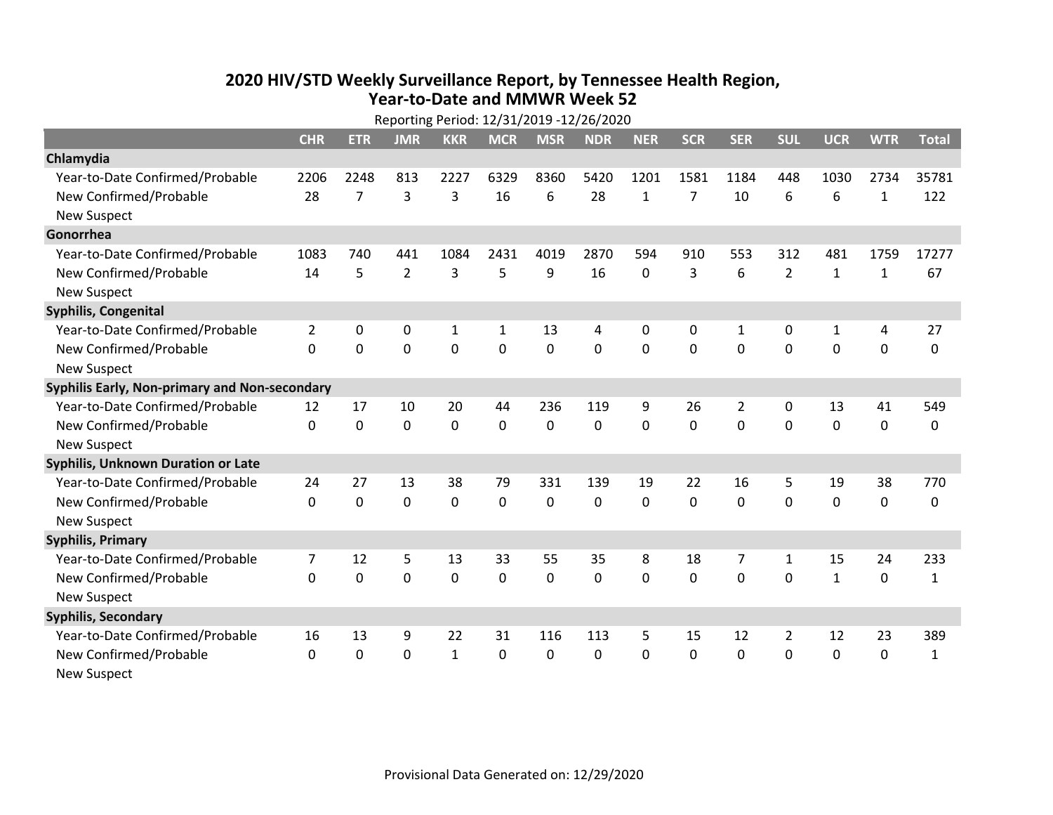## **2020 HIV /STD Weekly Surveillance Report, by Tennessee Health Region, Year‐to‐Date and MMWR Week 52**

|                                               | Reporting Period: 12/31/2019 -12/26/2020 |             |                |              |              |             |            |              |              |                |                |              |              |              |
|-----------------------------------------------|------------------------------------------|-------------|----------------|--------------|--------------|-------------|------------|--------------|--------------|----------------|----------------|--------------|--------------|--------------|
|                                               | <b>CHR</b>                               | <b>ETR</b>  | <b>JMR</b>     | <b>KKR</b>   | <b>MCR</b>   | <b>MSR</b>  | <b>NDR</b> | <b>NER</b>   | <b>SCR</b>   | <b>SER</b>     | <b>SUL</b>     | <b>UCR</b>   | <b>WTR</b>   | <b>Total</b> |
| Chlamydia                                     |                                          |             |                |              |              |             |            |              |              |                |                |              |              |              |
| Year-to-Date Confirmed/Probable               | 2206                                     | 2248        | 813            | 2227         | 6329         | 8360        | 5420       | 1201         | 1581         | 1184           | 448            | 1030         | 2734         | 35781        |
| New Confirmed/Probable                        | 28                                       | 7           | 3              | 3            | 16           | 6           | 28         | $\mathbf{1}$ | 7            | 10             | 6              | 6            | $\mathbf{1}$ | 122          |
| <b>New Suspect</b>                            |                                          |             |                |              |              |             |            |              |              |                |                |              |              |              |
| Gonorrhea                                     |                                          |             |                |              |              |             |            |              |              |                |                |              |              |              |
| Year-to-Date Confirmed/Probable               | 1083                                     | 740         | 441            | 1084         | 2431         | 4019        | 2870       | 594          | 910          | 553            | 312            | 481          | 1759         | 17277        |
| New Confirmed/Probable                        | 14                                       | 5           | $\overline{2}$ | 3            | 5            | 9           | 16         | $\Omega$     | 3            | 6              | $\overline{2}$ | $\mathbf{1}$ | $\mathbf{1}$ | 67           |
| New Suspect                                   |                                          |             |                |              |              |             |            |              |              |                |                |              |              |              |
| <b>Syphilis, Congenital</b>                   |                                          |             |                |              |              |             |            |              |              |                |                |              |              |              |
| Year-to-Date Confirmed/Probable               | $\overline{2}$                           | 0           | $\mathbf 0$    | $\mathbf{1}$ | $\mathbf{1}$ | 13          | 4          | 0            | 0            | $\mathbf{1}$   | 0              | $\mathbf{1}$ | 4            | 27           |
| New Confirmed/Probable                        | $\Omega$                                 | 0           | $\mathbf 0$    | 0            | $\mathbf{0}$ | 0           | 0          | 0            | $\mathbf{0}$ | 0              | $\mathbf 0$    | 0            | $\mathbf 0$  | 0            |
| <b>New Suspect</b>                            |                                          |             |                |              |              |             |            |              |              |                |                |              |              |              |
| Syphilis Early, Non-primary and Non-secondary |                                          |             |                |              |              |             |            |              |              |                |                |              |              |              |
| Year-to-Date Confirmed/Probable               | 12                                       | 17          | 10             | 20           | 44           | 236         | 119        | 9            | 26           | $\overline{2}$ | 0              | 13           | 41           | 549          |
| New Confirmed/Probable                        | 0                                        | $\mathbf 0$ | $\mathbf 0$    | $\mathbf 0$  | 0            | $\mathbf 0$ | 0          | 0            | 0            | $\mathbf 0$    | $\mathbf 0$    | $\mathbf 0$  | $\mathbf 0$  | 0            |
| <b>New Suspect</b>                            |                                          |             |                |              |              |             |            |              |              |                |                |              |              |              |
| Syphilis, Unknown Duration or Late            |                                          |             |                |              |              |             |            |              |              |                |                |              |              |              |
| Year-to-Date Confirmed/Probable               | 24                                       | 27          | 13             | 38           | 79           | 331         | 139        | 19           | 22           | 16             | 5              | 19           | 38           | 770          |
| New Confirmed/Probable                        | $\Omega$                                 | 0           | $\mathbf 0$    | 0            | 0            | 0           | 0          | $\Omega$     | $\Omega$     | 0              | $\mathbf 0$    | 0            | $\mathbf 0$  | 0            |
| <b>New Suspect</b>                            |                                          |             |                |              |              |             |            |              |              |                |                |              |              |              |
| <b>Syphilis, Primary</b>                      |                                          |             |                |              |              |             |            |              |              |                |                |              |              |              |
| Year-to-Date Confirmed/Probable               | 7                                        | 12          | 5              | 13           | 33           | 55          | 35         | 8            | 18           | 7              | $\mathbf{1}$   | 15           | 24           | 233          |
| New Confirmed/Probable                        | $\Omega$                                 | $\mathbf 0$ | $\mathbf 0$    | $\mathbf{0}$ | $\mathbf{0}$ | 0           | 0          | $\Omega$     | $\mathbf{0}$ | 0              | $\mathbf{0}$   | $\mathbf{1}$ | 0            | $\mathbf{1}$ |
| <b>New Suspect</b>                            |                                          |             |                |              |              |             |            |              |              |                |                |              |              |              |
| <b>Syphilis, Secondary</b>                    |                                          |             |                |              |              |             |            |              |              |                |                |              |              |              |
| Year-to-Date Confirmed/Probable               | 16                                       | 13          | 9              | 22           | 31           | 116         | 113        | 5            | 15           | 12             | 2              | 12           | 23           | 389          |
| New Confirmed/Probable                        | 0                                        | $\mathbf 0$ | 0              | $\mathbf{1}$ | $\mathbf{0}$ | 0           | 0          | $\Omega$     | $\mathbf{0}$ | 0              | 0              | 0            | $\mathbf 0$  | $\mathbf{1}$ |
| <b>New Suspect</b>                            |                                          |             |                |              |              |             |            |              |              |                |                |              |              |              |